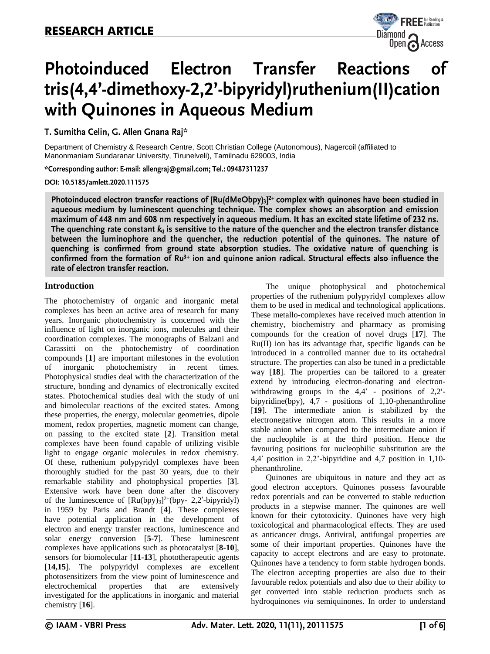

# Photoinduced Electron Transfer Reactions οf tris(4,4'-dimethoxy-2,2'-bipyridyl)ruthenium(II)cation with Quinones in Aqueous Medium

T. Sumitha Celin, G. Allen Gnana Raj\*

Department of Chemistry & Research Centre, Scott Christian College (Autonomous), Nagercoil (affiliated to Manonmaniam Sundaranar University, Tirunelveli), Tamilnadu 629003, India

\*Corresponding author: E-mail: allengraj@gmail.com; Tel.: 09487311237

DOI: 10.5185/amlett.2020.111575

Photoinduced electron transfer reactions of [Ru(dMeObpy)3]<sup>2+</sup> complex with quinones have been studied in aqueous medium by luminescent quenching technique. The complex shows an absorption and emission maximum of 448 nm and 608 nm respectively in aqueous medium. It has an excited state lifetime of 232 ns. The quenching rate constant  $k_q$  is sensitive to the nature of the quencher and the electron transfer distance between the luminophore and the quencher, the reduction potential of the quinones. The nature of quenching is confirmed from ground state absorption studies. The oxidative nature of quenching is confirmed from the formation of Ru<sup>3+</sup> ion and quinone anion radical. Structural effects also influence the rate of electron transfer reaction.

# **Introduction**

The photochemistry of organic and inorganic metal complexes has been an active area of research for many years. Inorganic photochemistry is concerned with the influence of light on inorganic ions, molecules and their coordination complexes. The monographs of Balzani and Carassitti on the photochemistry of coordination compounds [**1**] are important milestones in the evolution of inorganic photochemistry in recent times. Photophysical studies deal with the characterization of the structure, bonding and dynamics of electronically excited states. Photochemical studies deal with the study of uni and bimolecular reactions of the excited states. Among these properties, the energy, molecular geometries, dipole moment, redox properties, magnetic moment can change, on passing to the excited state [**2**]. Transition metal complexes have been found capable of utilizing visible light to engage organic molecules in redox chemistry. Of these, ruthenium polypyridyl complexes have been thoroughly studied for the past 30 years, due to their remarkable stability and photophysical properties [**3**]. Extensive work have been done after the discovery of the luminescence of  $[Ru(bpy)_3]^2$ <sup>+</sup>(bpy- 2,2'-bipyridyl) in 1959 by Paris and Brandt [**4**]. These complexes have potential application in the development of electron and energy transfer reactions, luminescence and solar energy conversion [**5-7**]. These luminescent complexes have applications such as photocatalyst [**8-10**], sensors for biomolecular [**11-13**], phototherapeutic agents [**14,15**]. The polypyridyl complexes are excellent photosensitizers from the view point of luminescence and electrochemical properties that are extensively investigated for the applications in inorganic and material chemistry [**16**].

The unique photophysical and photochemical properties of the ruthenium polypyridyl complexes allow them to be used in medical and technological applications. These metallo-complexes have received much attention in chemistry, biochemistry and pharmacy as promising compounds for the creation of novel drugs [**17**]. The Ru(II) ion has its advantage that, specific ligands can be introduced in a controlled manner due to its octahedral structure. The properties can also be tuned in a predictable way [**18**]. The properties can be tailored to a greater extend by introducing electron-donating and electronwithdrawing groups in the  $4.4'$  - positions of  $2.2'$ bipyridine(bpy), 4,7 - positions of 1,10-phenanthroline [**19**]. The intermediate anion is stabilized by the electronegative nitrogen atom. This results in a more stable anion when compared to the intermediate anion if the nucleophile is at the third position. Hence the favouring positions for nucleophilic substitution are the 4,4 position in 2,2'-bipyridine and 4,7 position in 1,10 phenanthroline.

Quinones are ubiquitous in nature and they act as good electron acceptors. Quinones possess favourable redox potentials and can be converted to stable reduction products in a stepwise manner. The quinones are well known for their cytotoxicity. Quinones have very high toxicological and pharmacological effects. They are used as anticancer drugs. Antiviral, antifungal properties are some of their important properties. Quinones have the capacity to accept electrons and are easy to protonate. Quinones have a tendency to form stable hydrogen bonds. The electron accepting properties are also due to their favourable redox potentials and also due to their ability to get converted into stable reduction products such as hydroquinones *via* semiquinones. In order to understand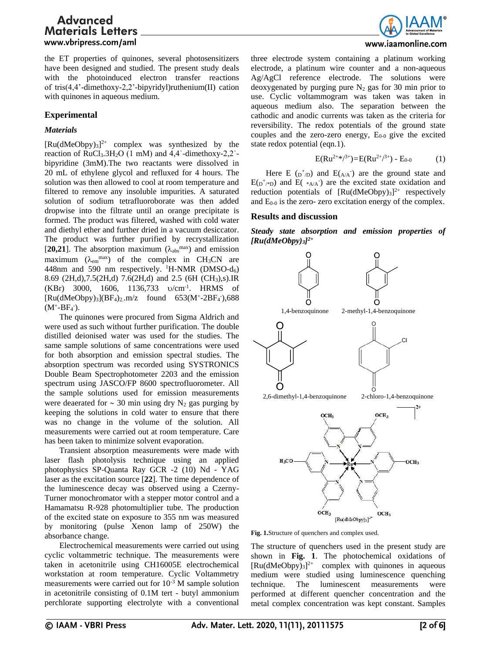the ET properties of quinones, several photosensitizers have been designed and studied. The present study deals with the photoinduced electron transfer reactions of tris(4,4'-dimethoxy-2,2'-bipyridyl)ruthenium(II) cation with quinones in aqueous medium.

# **Experimental**

# *Materials*

 $[Ru(dMeObpy)<sub>3</sub>]<sup>2+</sup>$  complex was synthesized by the reaction of RuCl3.3H2O (1 mM) and 4,4ˈ-dimethoxy-2,2ˈbipyridine (3mM).The two reactants were dissolved in 20 mL of ethylene glycol and refluxed for 4 hours. The solution was then allowed to cool at room temperature and filtered to remove any insoluble impurities. A saturated solution of sodium tetrafluoroborate was then added dropwise into the filtrate until an orange precipitate is formed. The product was filtered, washed with cold water and diethyl ether and further dried in a vacuum desiccator. The product was further purified by recrystallization [20,21]. The absorption maximum  $(\lambda_{\text{abs}}^{\text{max}})$  and emission maximum ( $\lambda_{em}$ <sup>max</sup>) of the complex in CH<sub>3</sub>CN are 448nm and 590 nm respectively. <sup>1</sup>H-NMR (DMSO- $d_6$ ) 8.69 (2H,d),7.5(2H,d) 7.6(2H,d) and 2.5 (6H (CH3),s).IR  $(KBr)$  3000, 1606, 1136,733  $v/cm^{-1}$ . HRMS of  $[Ru(dMeObpy)<sub>3</sub>](BF<sub>4</sub>)<sub>2</sub>$ .m/z found 653(M<sup>+</sup>-2BF<sub>4</sub><sup>-</sup>),688  $(M^+ - BF_4).$ 

The quinones were procured from Sigma Aldrich and were used as such without further purification. The double distilled deionised water was used for the studies. The same sample solutions of same concentrations were used for both absorption and emission spectral studies. The absorption spectrum was recorded using SYSTRONICS Double Beam Spectrophotometer 2203 and the emission spectrum using JASCO/FP 8600 spectrofluorometer. All the sample solutions used for emission measurements were deaerated for  $\sim$  30 min using dry N<sub>2</sub> gas purging by keeping the solutions in cold water to ensure that there was no change in the volume of the solution. All measurements were carried out at room temperature. Care has been taken to minimize solvent evaporation.

Transient absorption measurements were made with laser flash photolysis technique using an applied photophysics SP-Quanta Ray GCR -2 (10) Nd - YAG laser as the excitation source [**22**]. The time dependence of the luminescence decay was observed using a Czerny-Turner monochromator with a stepper motor control and a Hamamatsu R-928 photomultiplier tube. The production of the excited state on exposure to 355 nm was measured by monitoring (pulse Xenon lamp of 250W) the absorbance change.

Electrochemical measurements were carried out using cyclic voltammetric technique. The measurements were taken in acetonitrile using CH16005E electrochemical workstation at room temperature. Cyclic Voltammetry measurements were carried out for  $10^{-3}$  M sample solution in acetonitrile consisting of 0.1M tert - butyl ammonium perchlorate supporting electrolyte with a conventional



three electrode system containing a platinum working electrode, a platinum wire counter and a non-aqueous Ag/AgCl reference electrode. The solutions were deoxygenated by purging pure  $N_2$  gas for 30 min prior to use. Cyclic voltammogram was taken was taken in aqueous medium also. The separation between the cathodic and anodic currents was taken as the criteria for reversibility. The redox potentials of the ground state couples and the zero-zero energy,  $E_{0-0}$  give the excited state redox potential (eqn.1).

$$
E(Ru^{2+\ast/3+})=E(Ru^{2+\ast/3+})-E_{0-0}
$$
 (1)

Here E  $(p^+_{D})$  and  $E(A \cap A)$  are the ground state and  $E(p^{+}_{A})$  and  $E(*_{A/A})$  are the excited state oxidation and reduction potentials of  $[Ru(dMeObpy)_3]^{2+}$  respectively and  $E_{0-0}$  is the zero- zero excitation energy of the complex.

### **Results and discussion**

*Steady state absorption and emission properties of [Ru(dMeObpy)3] 2+*



**Fig. 1.**Structure of quenchers and complex used.

The structure of quenchers used in the present study are shown in **Fig. 1**. The photochemical oxidations of  $[Ru(dMeObpy)<sub>3</sub>]<sup>2+</sup>$  complex with quinones in aqueous medium were studied using luminescence quenching technique. The luminescent measurements were performed at different quencher concentration and the metal complex concentration was kept constant. Samples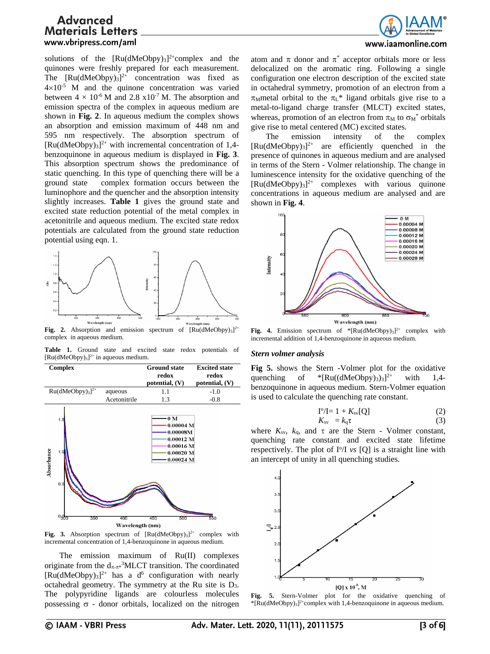solutions of the  $[Ru(dMeObpy)<sub>3</sub>]<sup>2+</sup> complex$  and the quinones were freshly prepared for each measurement. The  $[Ru(dMeObpy)_{3}]^{2+}$  concentration was fixed as  $4\times10^{-5}$  M and the quinone concentration was varied between  $4 \times 10^{-6}$  M and 2.8 x10<sup>-7</sup> M. The absorption and emission spectra of the complex in aqueous medium are shown in **Fig. 2**. In aqueous medium the complex shows an absorption and emission maximum of 448 nm and 595 nm respectively. The absorption spectrum of  $[Ru(dMeObpy)_3]^{2+}$  with incremental concentration of 1,4benzoquinone in aqueous medium is displayed in **Fig. 3**. This absorption spectrum shows the predominance of static quenching. In this type of quenching there will be a ground state complex formation occurs between the luminophore and the quencher and the absorption intensity slightly increases. **Table 1** gives the ground state and excited state reduction potential of the metal complex in acetonitrile and aqueous medium. The excited state redox potentials are calculated from the ground state reduction potential using eqn. 1.



Fig. 2. Absorption and emission spectrum of  $\left[\text{Ru}(\text{dMeObpy})_3\right]^{2+}$ complex in aqueous medium.

**Table 1.** Ground state and excited state redox potentials of  $[Ru(dMeObpy)<sub>3</sub>]<sup>2+</sup>$  in aqueous medium.



Fig. 3. Absorption spectrum of  $[Ru(dMeObpy)_3]^{2+}$  complex with incremental concentration of 1,4-benzoquinone in aqueous medium.

The emission maximum of Ru(II) complexes originate from the  $d_{\pi,\pi^*}$ <sup>3</sup>MLCT transition. The coordinated  $[Ru(dMeObpy)_3]^{2+}$  has a d<sup>6</sup> configuration with nearly octahedral geometry. The symmetry at the Ru site is D3. The polypyridine ligands are colourless molecules possessing  $\sigma$  - donor orbitals, localized on the nitrogen



### www.iaamonline.com

atom and  $\pi$  donor and  $\pi^*$  acceptor orbitals more or less delocalized on the aromatic ring. Following a single configuration one electron description of the excited state in octahedral symmetry, promotion of an electron from a  $\pi_M$ metal orbital to the  $\pi_L^*$  ligand orbitals give rise to a metal-to-ligand charge transfer (MLCT) excited states, whereas, promotion of an electron from  $\pi_M$  to  $\sigma_M^*$  orbitals give rise to metal centered (MC) excited states.

The emission intensity of the complex  $[Ru(dMeObpy)<sub>3</sub>]^{2+}$  are efficiently quenched in the presence of quinones in aqueous medium and are analysed in terms of the Stern - Volmer relationship. The change in luminescence intensity for the oxidative quenching of the  $[Ru(dMeObpy)_3]^{2+}$  complexes with various quinone concentrations in aqueous medium are analysed and are shown in **Fig. 4**.



**Fig. 4.** Emission spectrum of  $*$ [Ru(dMeObpy)<sub>3</sub>]<sup>2+</sup> complex with incremental addition of 1,4-benzoquinone in aqueous medium.

#### *Stern volmer analysis*

**Fig 5.** shows the Stern -Volmer plot for the oxidative quenching of  $*(Ru((dMeObpy)_{3})_{3}]^{2+}$ with  $1,4$ benzoquinone in aqueous medium. Stern-Volmer equation is used to calculate the quenching rate constant.

$$
I^o/I = 1 + K_{sv}[Q] \tag{2}
$$

$$
K_{\rm sv} = k_{\rm q} \tau \tag{3}
$$

where  $K_{sv}$ ,  $k_q$ , and  $\tau$  are the Stern - Volmer constant, quenching rate constant and excited state lifetime respectively. The plot of I<sup>o</sup>/I *vs* [Q] is a straight line with an intercept of unity in all quenching studies.



**Fig. 5.** Stern-Volmer plot for the oxidative quenching of \*[Ru(dMeObpy)3] 2+complex with 1,4-benzoquinone in aqueous medium.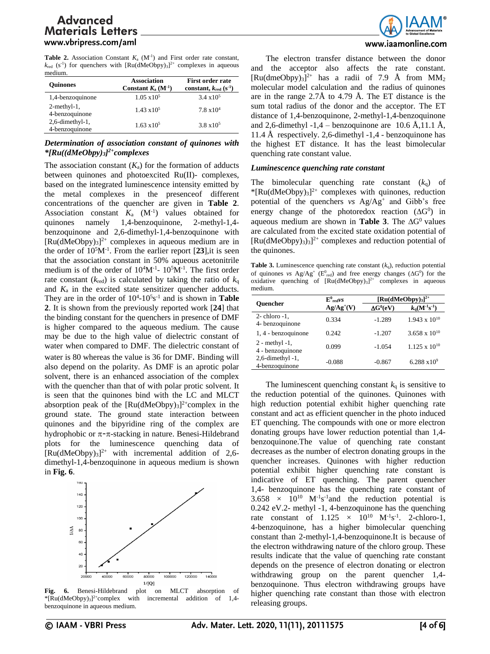**Table 2.** Association Constant  $K_a$  ( $M^{-1}$ ) and First order rate constant,  $k_{\text{red}}$  (s<sup>-1</sup>) for quenchers with  $\text{[Ru(dMeObpy)}_3]^2$ <sup>+</sup> complexes in aqueous medium.

| <b>Ouinones</b>                       | <b>Association</b><br>Constant $K_a$ (M <sup>-1</sup> ) | <b>First order rate</b><br>constant, $k_{\text{red}}$ (s <sup>-1</sup> ) |  |
|---------------------------------------|---------------------------------------------------------|--------------------------------------------------------------------------|--|
| 1,4-benzoquinone                      | $1.05 \times 10^5$                                      | $3.4 \times 10^5$                                                        |  |
| $2$ -methyl-1,<br>4-benzoquinone      | $1.43 \times 10^5$                                      | $7.8 \times 10^4$                                                        |  |
| $2, 6$ -dimethyl-1,<br>4-benzoquinone | $1.63 \times 10^5$                                      | $3.8 \times 10^5$                                                        |  |

# *Determination of association constant of quinones with \*[Ru((dMeObpy)3] 2+complexes*

The association constant  $(K_a)$  for the formation of adducts between quinones and photoexcited Ru(II)- complexes, based on the integrated luminescence intensity emitted by the metal complexes in the presenceof different concentrations of the quencher are given in **Table 2**. Association constant  $K_a$   $(M^{-1})$  values obtained for quinones namely 1,4-benzoquinone, 2-methyl-1,4 benzoquinone and 2,6-dimethyl-1,4-benzoquinone with  $[Ru(dMeObpy)<sub>3</sub>]<sup>2+</sup>$  complexes in aqueous medium are in the order of  $10<sup>5</sup>M<sup>-1</sup>$ . From the earlier report  $[23]$ , it is seen that the association constant in 50% aqueous acetonitrile medium is of the order of  $10^4M^{-1}$ -  $10^5M^{-1}$ . The first order rate constant ( $k_{\text{red}}$ ) is calculated by taking the ratio of  $k_{\text{q}}$ and *K*<sup>a</sup> in the excited state sensitizer quencher adducts. They are in the order of  $10^4$ - $10^5$ s<sup>-1</sup> and is shown in **Table 2**. It is shown from the previously reported work [**24**] that the binding constant for the quenchers in presence of DMF is higher compared to the aqueous medium. The cause may be due to the high value of dielectric constant of water when compared to DMF. The dielectric constant of water is 80 whereas the value is 36 for DMF. Binding will also depend on the polarity. As DMF is an aprotic polar solvent, there is an enhanced association of the complex with the quencher than that of with polar protic solvent. It is seen that the quinones bind with the LC and MLCT absorption peak of the  $[Ru(dMeOby)_{3}]^{2+}$ complex in the ground state. The ground state interaction between quinones and the bipyridine ring of the complex are hydrophobic or  $\pi$ - $\pi$ -stacking in nature. Benesi-Hildebrand plots for the luminescence quenching data of  $[Ru(dMeObpy)<sub>3</sub>]^{2+}$  with incremental addition of 2,6dimethyl-1,4-benzoquinone in aqueous medium is shown in **Fig. 6**.



**Fig. 6.** Benesi-Hildebrand plot on MLCT absorption of \*[Ru(dMeObpy)3] 2+complex with incremental addition of 1,4 benzoquinone in aqueous medium.



### www.jaamonline.com

The electron transfer distance between the donor and the acceptor also affects the rate constant.  $[Ru(dmeObpy)<sub>3</sub>]^{2+}$  has a radii of 7.9 Å from MM<sub>2</sub> molecular model calculation and the radius of quinones are in the range 2.7Å to 4.79 Å. The ET distance is the sum total radius of the donor and the acceptor. The ET distance of 1,4-benzoquinone, 2-methyl-1,4-benzoquinone and 2,6-dimethyl -1,4 – benzoquinone are 10.6 Å,11.1 Å, 11.4 Å respectively. 2,6-dimethyl -1,4 - benzoquinone has the highest ET distance. It has the least bimolecular quenching rate constant value.

# *Luminescence quenching rate constant*

The bimolecular quenching rate constant  $(k_0)$  of  $*$ [Ru(dMeObpy)<sub>3</sub>]<sup>2+</sup> complexes with quinones, reduction potential of the quenchers *vs* Ag/Ag<sup>+</sup> and Gibb's free energy change of the photoredox reaction  $(\Delta G^0)$  in aqueous medium are shown in **Table 3**. The  $\Delta G^0$  values are calculated from the excited state oxidation potential of  $[Ru(dMeObpy)_{3}]^{2+}$  complexes and reduction potential of the quinones.

**Table 3.** Luminescence quenching rate constant  $(k_q)$ , reduction potential of quinones *vs*  $Ag/Ag^+$  ( $E^0_{red}$ ) and free energy changes ( $\Delta G^0$ ) for the oxidative quenching of  $[Ru(dMeObpy)_3]^{2+}$  complexes in aqueous medium.

| <b>Ouencher</b>                       | $E^0$ <sub>red</sub> $\nu s$ | $\left[\text{Ru}(\text{dMeObpv})_3\right]^{2+}$ |                                 |
|---------------------------------------|------------------------------|-------------------------------------------------|---------------------------------|
|                                       | $Ag/Ag^+(V)$                 | $\Delta G^0(eV)$                                | $k_q({\bf M}^{-1}{\bf s}^{-1})$ |
| $2$ -chloro -1,<br>4- benzoquinone    | 0.334                        | $-1.289$                                        | $1.943 \times 10^{10}$          |
| 1, 4 - benzoquinone                   | 0.242                        | $-1.207$                                        | $3.658 \times 10^{10}$          |
| $2$ - methyl -1,<br>4 - benzoquinone  | 0.099                        | $-1.054$                                        | $1.125 \times 10^{10}$          |
| $2,6$ -dimethyl -1,<br>4-benzoquinone | $-0.088$                     | $-0.867$                                        | $6.288 \times 10^{9}$           |

The luminescent quenching constant  $k_q$  is sensitive to the reduction potential of the quinones. Quinones with high reduction potential exhibit higher quenching rate constant and act as efficient quencher in the photo induced ET quenching. The compounds with one or more electron donating groups have lower reduction potential than 1,4 benzoquinone.The value of quenching rate constant decreases as the number of electron donating groups in the quencher increases. Quinones with higher reduction potential exhibit higher quenching rate constant is indicative of ET quenching. The parent quencher 1,4- benzoquinone has the quenching rate constant of  $3.658 \times 10^{10}$  M<sup>-1</sup>s<sup>-1</sup> and the reduction potential is 0.242 eV.2- methyl -1, 4-benzoquinone has the quenching rate constant of  $1.125 \times 10^{10} \text{ M}^{-1}\text{s}^{-1}$ . 2-chloro-1, 4-benzoquinone, has a higher bimolecular quenching constant than 2-methyl-1,4-benzoquinone.It is because of the electron withdrawing nature of the chloro group. These results indicate that the value of quenching rate constant depends on the presence of electron donating or electron withdrawing group on the parent quencher 1,4 benzoquinone. Thus electron withdrawing groups have higher quenching rate constant than those with electron releasing groups.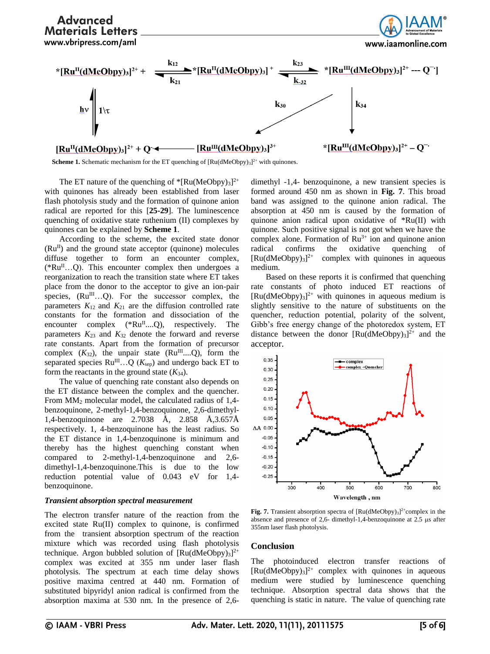

**Scheme 1.** Schematic mechanism for the ET quenching of  $\left[\text{Ru}(d\text{MeObpy})_3\right]^{2+}$  with quinones.

The ET nature of the quenching of  $*$ [Ru(MeObpy)<sub>3</sub>]<sup>2+</sup> with quinones has already been established from laser flash photolysis study and the formation of quinone anion radical are reported for this [**25-29**]. The luminescence quenching of oxidative state ruthenium (II) complexes by quinones can be explained by **Scheme 1**.

According to the scheme, the excited state donor  $(Ru^{\text{II}})$  and the ground state acceptor (quinone) molecules diffuse together to form an encounter complex,  $(*Ru<sup>II</sup>...Q)$ . This encounter complex then undergoes a reorganization to reach the transition state where ET takes place from the donor to the acceptor to give an ion-pair species,  $(Ru^{III}...Q)$ . For the successor complex, the parameters  $K_{12}$  and  $K_{21}$  are the diffusion controlled rate constants for the formation and dissociation of the encounter complex  $(*Ru^{\Pi}...Q)$ , respectively. The parameters  $K_{23}$  and  $K_{32}$  denote the forward and reverse rate constants. Apart from the formation of precursor complex  $(K_{32})$ , the unpair state  $(Ru^{III}...Q)$ , form the separated species  $Ru^{III}...Q(K_{sep})$  and undergo back ET to form the reactants in the ground state  $(K_{34})$ .

The value of quenching rate constant also depends on the ET distance between the complex and the quencher. From MM<sup>2</sup> molecular model, the calculated radius of 1,4 benzoquinone, 2-methyl-1,4-benzoquinone, 2,6-dimethyl-1,4-benzoquinone are 2.7038 Å, 2.858 Å,3.657Å respectively. 1, 4-benzoquinone has the least radius. So the ET distance in 1,4-benzoquinone is minimum and thereby has the highest quenching constant when compared to 2-methyl-1,4-benzoquinone and 2,6 dimethyl-1,4-benzoquinone.This is due to the low reduction potential value of 0.043 eV for 1,4 benzoquinone.

#### *Transient absorption spectral measurement*

The electron transfer nature of the reaction from the excited state Ru(II) complex to quinone, is confirmed from the transient absorption spectrum of the reaction mixture which was recorded using flash photolysis technique. Argon bubbled solution of  $[Ru(dMeObpy)_{3}]^{2+}$ complex was excited at 355 nm under laser flash photolysis. The spectrum at each time delay shows positive maxima centred at 440 nm. Formation of substituted bipyridyl anion radical is confirmed from the absorption maxima at 530 nm. In the presence of 2,6dimethyl -1,4- benzoquinone, a new transient species is formed around 450 nm as shown in **Fig. 7**. This broad band was assigned to the quinone anion radical. The absorption at 450 nm is caused by the formation of quinone anion radical upon oxidative of \*Ru(II) with quinone. Such positive signal is not got when we have the complex alone. Formation of  $Ru^{3+}$  ion and quinone anion radical confirms the oxidative quenching of  $[Ru(dMeObpy)_3]^{2+}$  complex with quinones in aqueous medium.

Based on these reports it is confirmed that quenching rate constants of photo induced ET reactions of  $[Ru(dMeObpy)<sub>3</sub>]<sup>2+</sup>$  with quinones in aqueous medium is slightly sensitive to the nature of substituents on the quencher, reduction potential, polarity of the solvent, Gibb's free energy change of the photoredox system, ET distance between the donor  $[Ru(dMeObpy)_{3}]^{2+}$  and the acceptor.



**Fig. 7.** Transient absorption spectra of  $[Ru(dMeOby)_{3}]^{2+}$ complex in the absence and presence of  $2,6$ - dimethyl-1,4-benzoquinone at  $2.5 \text{ }\mu\text{s}$  after 355nm laser flash photolysis.

### **Conclusion**

The photoinduced electron transfer reactions of  $[Ru(dMeObpy)<sub>3</sub>]<sup>2+</sup>$  complex with quinones in aqueous medium were studied by luminescence quenching technique. Absorption spectral data shows that the quenching is static in nature. The value of quenching rate